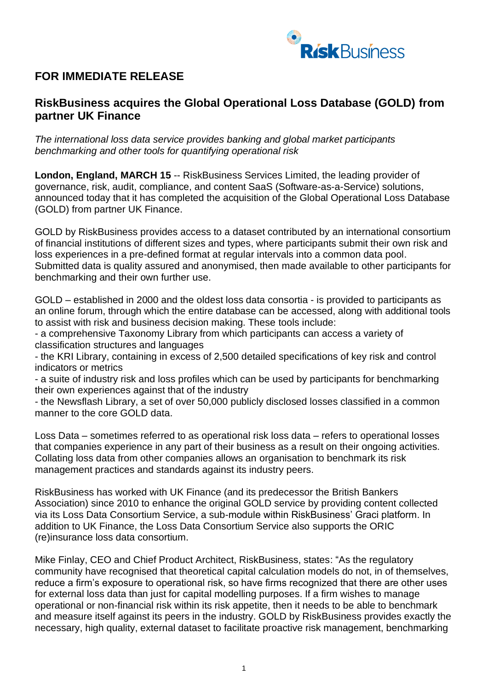

## **FOR IMMEDIATE RELEASE**

## **RiskBusiness acquires the Global Operational Loss Database (GOLD) from partner UK Finance**

*The international loss data service provides banking and global market participants benchmarking and other tools for quantifying operational risk* 

**London, England, MARCH 15 -- RiskBusiness Services Limited, the leading provider of** governance, risk, audit, compliance, and content SaaS (Software-as-a-Service) solutions, announced today that it has completed the acquisition of the Global Operational Loss Database (GOLD) from partner UK Finance.

GOLD by RiskBusiness provides access to a dataset contributed by an international consortium of financial institutions of different sizes and types, where participants submit their own risk and loss experiences in a pre-defined format at regular intervals into a common data pool. Submitted data is quality assured and anonymised, then made available to other participants for benchmarking and their own further use.

GOLD – established in 2000 and the oldest loss data consortia - is provided to participants as an online forum, through which the entire database can be accessed, along with additional tools to assist with risk and business decision making. These tools include:

- a comprehensive Taxonomy Library from which participants can access a variety of classification structures and languages

- the KRI Library, containing in excess of 2,500 detailed specifications of key risk and control indicators or metrics

- a suite of industry risk and loss profiles which can be used by participants for benchmarking their own experiences against that of the industry

- the Newsflash Library, a set of over 50,000 publicly disclosed losses classified in a common manner to the core GOLD data.

Loss Data – sometimes referred to as operational risk loss data – refers to operational losses that companies experience in any part of their business as a result on their ongoing activities. Collating loss data from other companies allows an organisation to benchmark its risk management practices and standards against its industry peers.

RiskBusiness has worked with UK Finance (and its predecessor the British Bankers Association) since 2010 to enhance the original GOLD service by providing content collected via its Loss Data Consortium Service, a sub-module within RiskBusiness' Graci platform. In addition to UK Finance, the Loss Data Consortium Service also supports the ORIC (re)insurance loss data consortium.

Mike Finlay, CEO and Chief Product Architect, RiskBusiness, states: "As the regulatory community have recognised that theoretical capital calculation models do not, in of themselves, reduce a firm's exposure to operational risk, so have firms recognized that there are other uses for external loss data than just for capital modelling purposes. If a firm wishes to manage operational or non-financial risk within its risk appetite, then it needs to be able to benchmark and measure itself against its peers in the industry. GOLD by RiskBusiness provides exactly the necessary, high quality, external dataset to facilitate proactive risk management, benchmarking